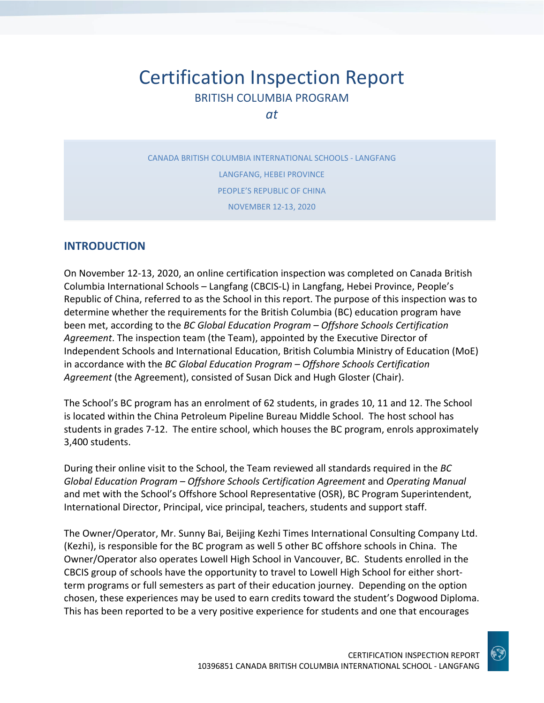# Certification Inspection Report BRITISH COLUMBIA PROGRAM

*at*

CANADA BRITISH COLUMBIA INTERNATIONAL SCHOOLS - LANGFANG LANGFANG, HEBEI PROVINCE PEOPLE'S REPUBLIC OF CHINA NOVEMBER 12-13, 2020

## **INTRODUCTION**

On November 12-13, 2020, an online certification inspection was completed on Canada British Columbia International Schools – Langfang (CBCIS-L) in Langfang, Hebei Province, People's Republic of China, referred to as the School in this report. The purpose of this inspection was to determine whether the requirements for the British Columbia (BC) education program have been met, according to the *BC Global Education Program – Offshore Schools Certification Agreement*. The inspection team (the Team), appointed by the Executive Director of Independent Schools and International Education, British Columbia Ministry of Education (MoE) in accordance with the *BC Global Education Program – Offshore Schools Certification Agreement* (the Agreement), consisted of Susan Dick and Hugh Gloster (Chair).

The School's BC program has an enrolment of 62 students, in grades 10, 11 and 12. The School is located within the China Petroleum Pipeline Bureau Middle School. The host school has students in grades 7-12. The entire school, which houses the BC program, enrols approximately 3,400 students.

During their online visit to the School, the Team reviewed all standards required in the *BC Global Education Program – Offshore Schools Certification Agreement* and *Operating Manual*  and met with the School's Offshore School Representative (OSR), BC Program Superintendent, International Director, Principal, vice principal, teachers, students and support staff.

The Owner/Operator, Mr. Sunny Bai, Beijing Kezhi Times International Consulting Company Ltd. (Kezhi), is responsible for the BC program as well 5 other BC offshore schools in China. The Owner/Operator also operates Lowell High School in Vancouver, BC. Students enrolled in the CBCIS group of schools have the opportunity to travel to Lowell High School for either shortterm programs or full semesters as part of their education journey. Depending on the option chosen, these experiences may be used to earn credits toward the student's Dogwood Diploma. This has been reported to be a very positive experience for students and one that encourages

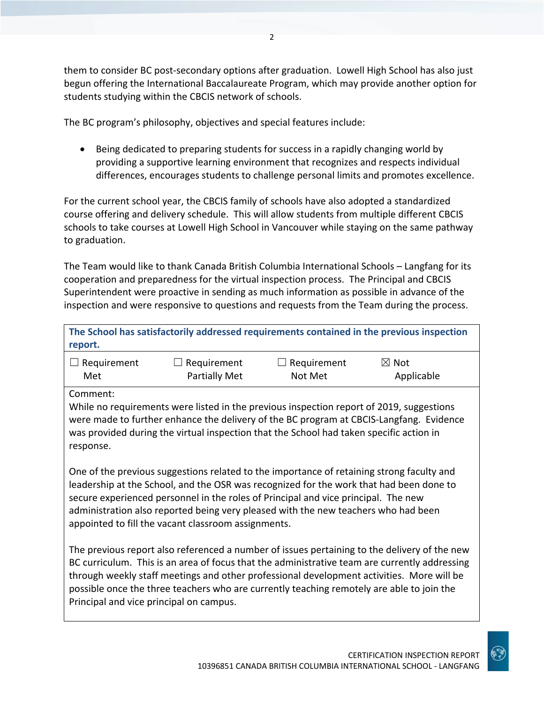them to consider BC post-secondary options after graduation. Lowell High School has also just begun offering the International Baccalaureate Program, which may provide another option for students studying within the CBCIS network of schools.

The BC program's philosophy, objectives and special features include:

• Being dedicated to preparing students for success in a rapidly changing world by providing a supportive learning environment that recognizes and respects individual differences, encourages students to challenge personal limits and promotes excellence.

For the current school year, the CBCIS family of schools have also adopted a standardized course offering and delivery schedule. This will allow students from multiple different CBCIS schools to take courses at Lowell High School in Vancouver while staying on the same pathway to graduation.

The Team would like to thank Canada British Columbia International Schools – Langfang for its cooperation and preparedness for the virtual inspection process. The Principal and CBCIS Superintendent were proactive in sending as much information as possible in advance of the inspection and were responsive to questions and requests from the Team during the process.

| The School has satisfactorily addressed requirements contained in the previous inspection |                    |                    |                 |  |
|-------------------------------------------------------------------------------------------|--------------------|--------------------|-----------------|--|
| report.                                                                                   |                    |                    |                 |  |
| $\Box$ Requirement                                                                        | $\Box$ Requirement | $\Box$ Reauirement | $\boxtimes$ Not |  |

| $\Box$ Requirement | $\Box$ Requirement   | $\Box$ Requirement | $\boxtimes$ Not |
|--------------------|----------------------|--------------------|-----------------|
| Met                | <b>Partially Met</b> | Not Met            | Applicable      |

Comment:

While no requirements were listed in the previous inspection report of 2019, suggestions were made to further enhance the delivery of the BC program at CBCIS-Langfang. Evidence was provided during the virtual inspection that the School had taken specific action in response.

One of the previous suggestions related to the importance of retaining strong faculty and leadership at the School, and the OSR was recognized for the work that had been done to secure experienced personnel in the roles of Principal and vice principal. The new administration also reported being very pleased with the new teachers who had been appointed to fill the vacant classroom assignments.

The previous report also referenced a number of issues pertaining to the delivery of the new BC curriculum. This is an area of focus that the administrative team are currently addressing through weekly staff meetings and other professional development activities. More will be possible once the three teachers who are currently teaching remotely are able to join the Principal and vice principal on campus.

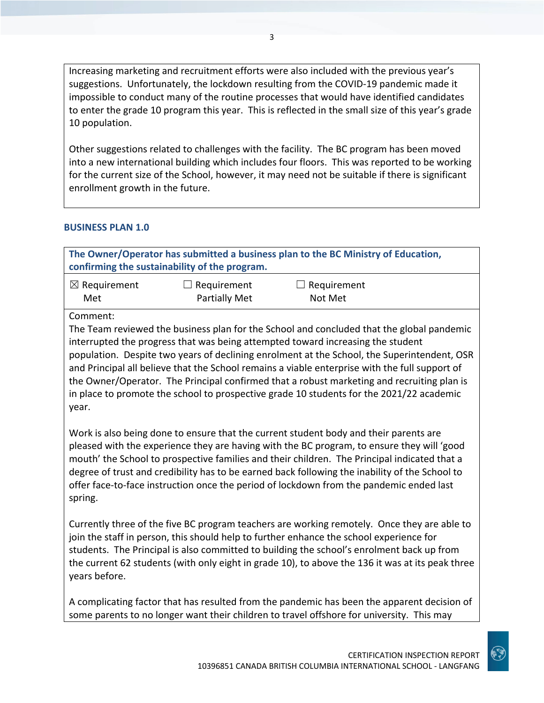Increasing marketing and recruitment efforts were also included with the previous year's suggestions. Unfortunately, the lockdown resulting from the COVID-19 pandemic made it impossible to conduct many of the routine processes that would have identified candidates to enter the grade 10 program this year. This is reflected in the small size of this year's grade 10 population.

Other suggestions related to challenges with the facility. The BC program has been moved into a new international building which includes four floors. This was reported to be working for the current size of the School, however, it may need not be suitable if there is significant enrollment growth in the future.

#### **BUSINESS PLAN 1.0**

spring.

|                                                                                                                                                                                                                                                                                                                                                                                                                                                                                                                                                                                              | confirming the sustainability of the program. | The Owner/Operator has submitted a business plan to the BC Ministry of Education,                                                                                                                                                                                                                                                                                                                                                                                                |  |
|----------------------------------------------------------------------------------------------------------------------------------------------------------------------------------------------------------------------------------------------------------------------------------------------------------------------------------------------------------------------------------------------------------------------------------------------------------------------------------------------------------------------------------------------------------------------------------------------|-----------------------------------------------|----------------------------------------------------------------------------------------------------------------------------------------------------------------------------------------------------------------------------------------------------------------------------------------------------------------------------------------------------------------------------------------------------------------------------------------------------------------------------------|--|
| $\boxtimes$ Requirement<br>Met                                                                                                                                                                                                                                                                                                                                                                                                                                                                                                                                                               | Requirement<br><b>Partially Met</b>           | Requirement<br>Not Met                                                                                                                                                                                                                                                                                                                                                                                                                                                           |  |
| Comment:<br>The Team reviewed the business plan for the School and concluded that the global pandemic<br>interrupted the progress that was being attempted toward increasing the student<br>population. Despite two years of declining enrolment at the School, the Superintendent, OSR<br>and Principal all believe that the School remains a viable enterprise with the full support of<br>the Owner/Operator. The Principal confirmed that a robust marketing and recruiting plan is<br>in place to promote the school to prospective grade 10 students for the 2021/22 academic<br>year. |                                               |                                                                                                                                                                                                                                                                                                                                                                                                                                                                                  |  |
|                                                                                                                                                                                                                                                                                                                                                                                                                                                                                                                                                                                              |                                               | Work is also being done to ensure that the current student body and their parents are<br>pleased with the experience they are having with the BC program, to ensure they will 'good<br>mouth' the School to prospective families and their children. The Principal indicated that a<br>degree of trust and credibility has to be earned back following the inability of the School to<br>offer face-to-face instruction once the period of lockdown from the pandemic ended last |  |

Currently three of the five BC program teachers are working remotely. Once they are able to join the staff in person, this should help to further enhance the school experience for students. The Principal is also committed to building the school's enrolment back up from the current 62 students (with only eight in grade 10), to above the 136 it was at its peak three years before.

A complicating factor that has resulted from the pandemic has been the apparent decision of some parents to no longer want their children to travel offshore for university. This may

CERTIFICATION INSPECTION REPORT 10396851 CANADA BRITISH COLUMBIA INTERNATIONAL SCHOOL - LANGFANG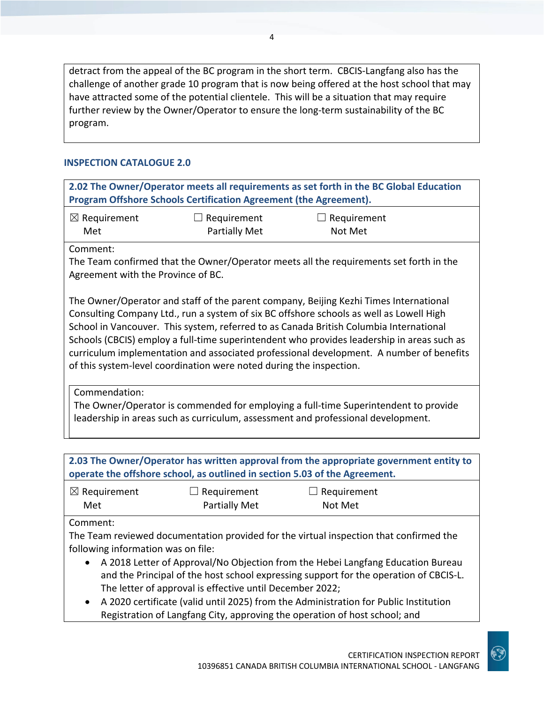detract from the appeal of the BC program in the short term. CBCIS-Langfang also has the challenge of another grade 10 program that is now being offered at the host school that may have attracted some of the potential clientele. This will be a situation that may require further review by the Owner/Operator to ensure the long-term sustainability of the BC program.

### **INSPECTION CATALOGUE 2.0**

| 2.02 The Owner/Operator meets all requirements as set forth in the BC Global Education<br>Program Offshore Schools Certification Agreement (the Agreement).                                                                                                                                                                                                                                                                                                                                                                                |                                                                            |                                                                                        |  |
|--------------------------------------------------------------------------------------------------------------------------------------------------------------------------------------------------------------------------------------------------------------------------------------------------------------------------------------------------------------------------------------------------------------------------------------------------------------------------------------------------------------------------------------------|----------------------------------------------------------------------------|----------------------------------------------------------------------------------------|--|
| $\boxtimes$ Requirement<br>Met                                                                                                                                                                                                                                                                                                                                                                                                                                                                                                             | $\Box$ Requirement<br><b>Partially Met</b>                                 | $\Box$ Requirement<br>Not Met                                                          |  |
| Comment:<br>Agreement with the Province of BC.                                                                                                                                                                                                                                                                                                                                                                                                                                                                                             |                                                                            | The Team confirmed that the Owner/Operator meets all the requirements set forth in the |  |
| The Owner/Operator and staff of the parent company, Beijing Kezhi Times International<br>Consulting Company Ltd., run a system of six BC offshore schools as well as Lowell High<br>School in Vancouver. This system, referred to as Canada British Columbia International<br>Schools (CBCIS) employ a full-time superintendent who provides leadership in areas such as<br>curriculum implementation and associated professional development. A number of benefits<br>of this system-level coordination were noted during the inspection. |                                                                            |                                                                                        |  |
| Commendation:<br>The Owner/Operator is commended for employing a full-time Superintendent to provide<br>leadership in areas such as curriculum, assessment and professional development.                                                                                                                                                                                                                                                                                                                                                   |                                                                            |                                                                                        |  |
|                                                                                                                                                                                                                                                                                                                                                                                                                                                                                                                                            | operate the offshore school, as outlined in section 5.03 of the Agreement. | 2.03 The Owner/Operator has written approval from the appropriate government entity to |  |
| $\boxtimes$ Requirement<br>Met                                                                                                                                                                                                                                                                                                                                                                                                                                                                                                             | Requirement<br><b>Partially Met</b>                                        | $\Box$ Requirement<br>Not Met                                                          |  |
| Comment:<br>The Team reviewed documentation provided for the virtual inspection that confirmed the<br>following information was on file:<br>A 2018 Letter of Approval/No Objection from the Hebei Langfang Education Bureau<br>and the Principal of the host school expressing support for the operation of CBCIS-L.<br>The letter of approval is effective until December 2022;                                                                                                                                                           |                                                                            |                                                                                        |  |

• A 2020 certificate (valid until 2025) from the Administration for Public Institution Registration of Langfang City, approving the operation of host school; and

 $\mathbf{G}$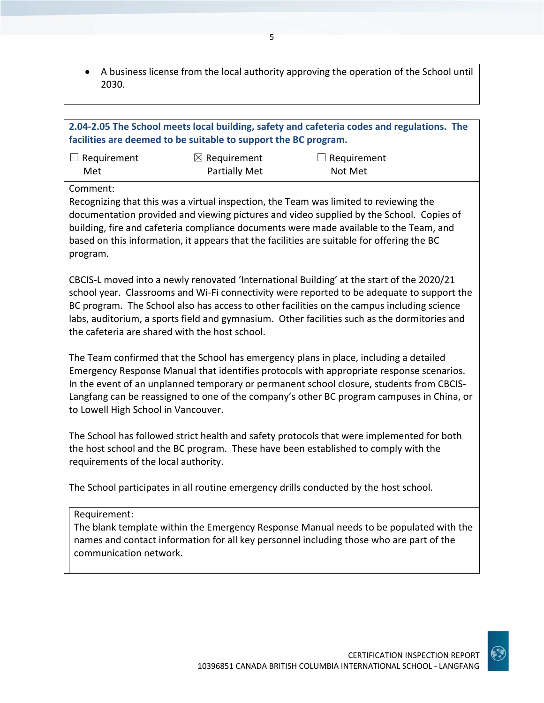• A business license from the local authority approving the operation of the School until 2030.

| 2.04-2.05 The School meets local building, safety and cafeteria codes and regulations. The<br>facilities are deemed to be suitable to support the BC program. |                                                |                                                                                                                                                                                                                                                                                                                                                                                       |  |
|---------------------------------------------------------------------------------------------------------------------------------------------------------------|------------------------------------------------|---------------------------------------------------------------------------------------------------------------------------------------------------------------------------------------------------------------------------------------------------------------------------------------------------------------------------------------------------------------------------------------|--|
| $\Box$ Requirement<br>Met                                                                                                                                     | $\boxtimes$ Requirement<br>Partially Met       | $\Box$ Requirement<br>Not Met                                                                                                                                                                                                                                                                                                                                                         |  |
| Comment:<br>program.                                                                                                                                          |                                                | Recognizing that this was a virtual inspection, the Team was limited to reviewing the<br>documentation provided and viewing pictures and video supplied by the School. Copies of<br>building, fire and cafeteria compliance documents were made available to the Team, and<br>based on this information, it appears that the facilities are suitable for offering the BC              |  |
|                                                                                                                                                               | the cafeteria are shared with the host school. | CBCIS-L moved into a newly renovated 'International Building' at the start of the 2020/21<br>school year. Classrooms and Wi-Fi connectivity were reported to be adequate to support the<br>BC program. The School also has access to other facilities on the campus including science<br>labs, auditorium, a sports field and gymnasium. Other facilities such as the dormitories and |  |
| to Lowell High School in Vancouver.                                                                                                                           |                                                | The Team confirmed that the School has emergency plans in place, including a detailed<br>Emergency Response Manual that identifies protocols with appropriate response scenarios.<br>In the event of an unplanned temporary or permanent school closure, students from CBCIS-<br>Langfang can be reassigned to one of the company's other BC program campuses in China, or            |  |
| requirements of the local authority.                                                                                                                          |                                                | The School has followed strict health and safety protocols that were implemented for both<br>the host school and the BC program. These have been established to comply with the                                                                                                                                                                                                       |  |
|                                                                                                                                                               |                                                | The School participates in all routine emergency drills conducted by the host school.                                                                                                                                                                                                                                                                                                 |  |
| Requirement:<br>communication network.                                                                                                                        |                                                | The blank template within the Emergency Response Manual needs to be populated with the<br>names and contact information for all key personnel including those who are part of the                                                                                                                                                                                                     |  |
|                                                                                                                                                               |                                                |                                                                                                                                                                                                                                                                                                                                                                                       |  |

 $\odot$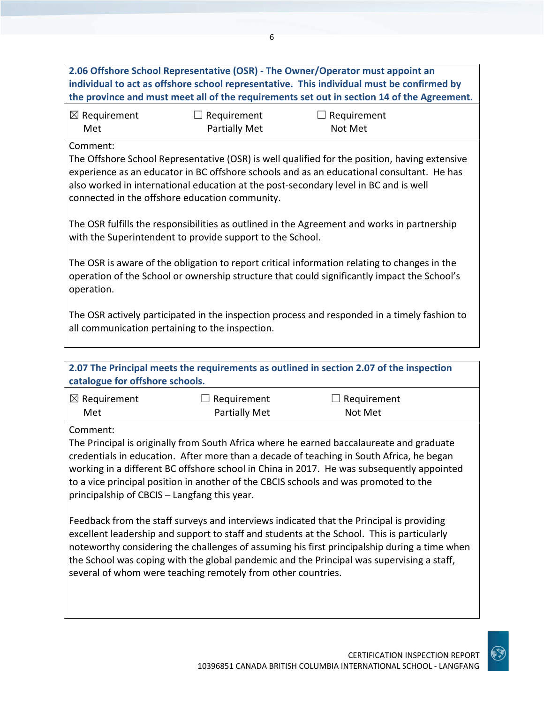| 2.06 Offshore School Representative (OSR) - The Owner/Operator must appoint an<br>individual to act as offshore school representative. This individual must be confirmed by<br>the province and must meet all of the requirements set out in section 14 of the Agreement.                                                                                                                                                                           |                                                                                                                                                                                                                                                                                                                                      |                                                                                             |  |  |
|-----------------------------------------------------------------------------------------------------------------------------------------------------------------------------------------------------------------------------------------------------------------------------------------------------------------------------------------------------------------------------------------------------------------------------------------------------|--------------------------------------------------------------------------------------------------------------------------------------------------------------------------------------------------------------------------------------------------------------------------------------------------------------------------------------|---------------------------------------------------------------------------------------------|--|--|
| $\boxtimes$ Requirement<br>Met                                                                                                                                                                                                                                                                                                                                                                                                                      | $\Box$ Requirement<br><b>Partially Met</b>                                                                                                                                                                                                                                                                                           | $\Box$ Requirement<br>Not Met                                                               |  |  |
| Comment:                                                                                                                                                                                                                                                                                                                                                                                                                                            | The Offshore School Representative (OSR) is well qualified for the position, having extensive<br>experience as an educator in BC offshore schools and as an educational consultant. He has<br>also worked in international education at the post-secondary level in BC and is well<br>connected in the offshore education community. |                                                                                             |  |  |
|                                                                                                                                                                                                                                                                                                                                                                                                                                                     | with the Superintendent to provide support to the School.                                                                                                                                                                                                                                                                            | The OSR fulfills the responsibilities as outlined in the Agreement and works in partnership |  |  |
| operation.                                                                                                                                                                                                                                                                                                                                                                                                                                          | The OSR is aware of the obligation to report critical information relating to changes in the<br>operation of the School or ownership structure that could significantly impact the School's                                                                                                                                          |                                                                                             |  |  |
| The OSR actively participated in the inspection process and responded in a timely fashion to<br>all communication pertaining to the inspection.                                                                                                                                                                                                                                                                                                     |                                                                                                                                                                                                                                                                                                                                      |                                                                                             |  |  |
|                                                                                                                                                                                                                                                                                                                                                                                                                                                     |                                                                                                                                                                                                                                                                                                                                      |                                                                                             |  |  |
| catalogue for offshore schools.                                                                                                                                                                                                                                                                                                                                                                                                                     |                                                                                                                                                                                                                                                                                                                                      | 2.07 The Principal meets the requirements as outlined in section 2.07 of the inspection     |  |  |
| $\boxtimes$ Requirement<br>Met                                                                                                                                                                                                                                                                                                                                                                                                                      | Requirement<br><b>Partially Met</b>                                                                                                                                                                                                                                                                                                  | $\Box$ Requirement<br>Not Met                                                               |  |  |
| Comment:<br>The Principal is originally from South Africa where he earned baccalaureate and graduate<br>credentials in education. After more than a decade of teaching in South Africa, he began<br>working in a different BC offshore school in China in 2017. He was subsequently appointed<br>to a vice principal position in another of the CBCIS schools and was promoted to the<br>principalship of CBCIS - Langfang this year.               |                                                                                                                                                                                                                                                                                                                                      |                                                                                             |  |  |
| Feedback from the staff surveys and interviews indicated that the Principal is providing<br>excellent leadership and support to staff and students at the School. This is particularly<br>noteworthy considering the challenges of assuming his first principalship during a time when<br>the School was coping with the global pandemic and the Principal was supervising a staff,<br>several of whom were teaching remotely from other countries. |                                                                                                                                                                                                                                                                                                                                      |                                                                                             |  |  |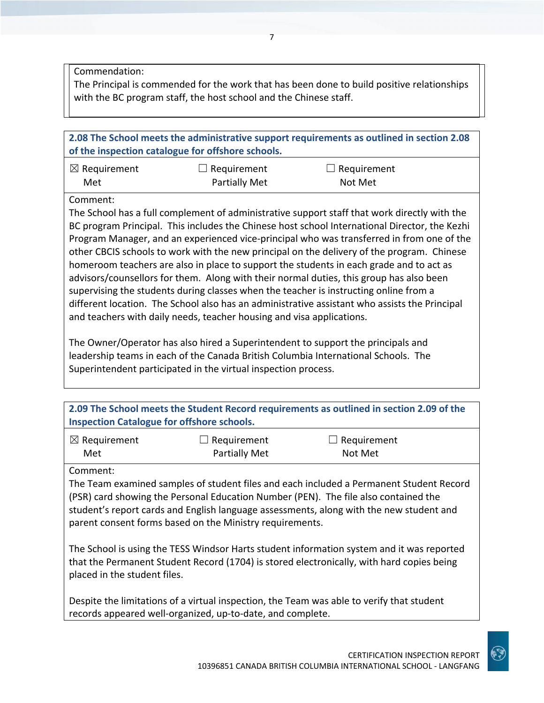Commendation:

The Principal is commended for the work that has been done to build positive relationships with the BC program staff, the host school and the Chinese staff.

| 2.08 The School meets the administrative support requirements as outlined in section 2.08<br>of the inspection catalogue for offshore schools.                                                                                                                                                                                                                                                                                                                                                                                                                                                                                                                                                                                                                                                                                                    |                                     |                        |  |
|---------------------------------------------------------------------------------------------------------------------------------------------------------------------------------------------------------------------------------------------------------------------------------------------------------------------------------------------------------------------------------------------------------------------------------------------------------------------------------------------------------------------------------------------------------------------------------------------------------------------------------------------------------------------------------------------------------------------------------------------------------------------------------------------------------------------------------------------------|-------------------------------------|------------------------|--|
| $\boxtimes$ Requirement<br>Met                                                                                                                                                                                                                                                                                                                                                                                                                                                                                                                                                                                                                                                                                                                                                                                                                    | Requirement<br><b>Partially Met</b> | Requirement<br>Not Met |  |
| Comment:                                                                                                                                                                                                                                                                                                                                                                                                                                                                                                                                                                                                                                                                                                                                                                                                                                          |                                     |                        |  |
| The School has a full complement of administrative support staff that work directly with the<br>BC program Principal. This includes the Chinese host school International Director, the Kezhi<br>Program Manager, and an experienced vice-principal who was transferred in from one of the<br>other CBCIS schools to work with the new principal on the delivery of the program. Chinese<br>homeroom teachers are also in place to support the students in each grade and to act as<br>advisors/counsellors for them. Along with their normal duties, this group has also been<br>supervising the students during classes when the teacher is instructing online from a<br>different location. The School also has an administrative assistant who assists the Principal<br>and teachers with daily needs, teacher housing and visa applications. |                                     |                        |  |
| The Owner/Operator has also hired a Superintendent to support the principals and                                                                                                                                                                                                                                                                                                                                                                                                                                                                                                                                                                                                                                                                                                                                                                  |                                     |                        |  |

The Owner/Operator has also hired a Superintendent to support the principals and leadership teams in each of the Canada British Columbia International Schools. The Superintendent participated in the virtual inspection process.

| 2.09 The School meets the Student Record requirements as outlined in section 2.09 of the |
|------------------------------------------------------------------------------------------|
| <b>Inspection Catalogue for offshore schools.</b>                                        |

| $\boxtimes$ Requirement | $\Box$ Requirement   | $\Box$ Requirement |
|-------------------------|----------------------|--------------------|
| Met                     | <b>Partially Met</b> | Not Met            |

Comment:

The Team examined samples of student files and each included a Permanent Student Record (PSR) card showing the Personal Education Number (PEN). The file also contained the student's report cards and English language assessments, along with the new student and parent consent forms based on the Ministry requirements.

The School is using the TESS Windsor Harts student information system and it was reported that the Permanent Student Record (1704) is stored electronically, with hard copies being placed in the student files.

Despite the limitations of a virtual inspection, the Team was able to verify that student records appeared well-organized, up-to-date, and complete.

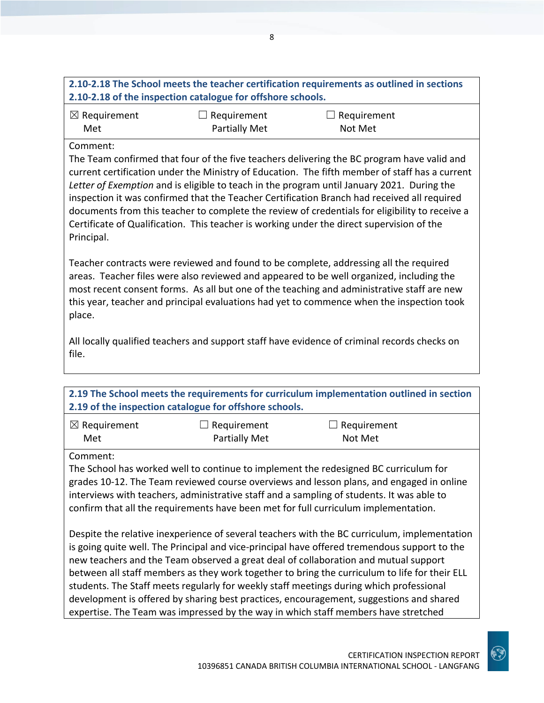| 2.10-2.18 The School meets the teacher certification requirements as outlined in sections |  |
|-------------------------------------------------------------------------------------------|--|
| 2.10-2.18 of the inspection catalogue for offshore schools.                               |  |

| $\boxtimes$ Requirement | $\Box$ Requirement   | $\Box$ Requirement |
|-------------------------|----------------------|--------------------|
| Met                     | <b>Partially Met</b> | Not Met            |

#### Comment:

The Team confirmed that four of the five teachers delivering the BC program have valid and current certification under the Ministry of Education. The fifth member of staff has a current *Letter of Exemption* and is eligible to teach in the program until January 2021. During the inspection it was confirmed that the Teacher Certification Branch had received all required documents from this teacher to complete the review of credentials for eligibility to receive a Certificate of Qualification. This teacher is working under the direct supervision of the Principal.

Teacher contracts were reviewed and found to be complete, addressing all the required areas. Teacher files were also reviewed and appeared to be well organized, including the most recent consent forms. As all but one of the teaching and administrative staff are new this year, teacher and principal evaluations had yet to commence when the inspection took place.

All locally qualified teachers and support staff have evidence of criminal records checks on file.

## **2.19 The School meets the requirements for curriculum implementation outlined in section 2.19 of the inspection catalogue for offshore schools.**

| $\boxtimes$ Requirement | $\Box$ Requirement   | $\Box$ Requirement |
|-------------------------|----------------------|--------------------|
| Met                     | <b>Partially Met</b> | Not Met            |

#### Comment:

The School has worked well to continue to implement the redesigned BC curriculum for grades 10-12. The Team reviewed course overviews and lesson plans, and engaged in online interviews with teachers, administrative staff and a sampling of students. It was able to confirm that all the requirements have been met for full curriculum implementation.

Despite the relative inexperience of several teachers with the BC curriculum, implementation is going quite well. The Principal and vice-principal have offered tremendous support to the new teachers and the Team observed a great deal of collaboration and mutual support between all staff members as they work together to bring the curriculum to life for their ELL students. The Staff meets regularly for weekly staff meetings during which professional development is offered by sharing best practices, encouragement, suggestions and shared expertise. The Team was impressed by the way in which staff members have stretched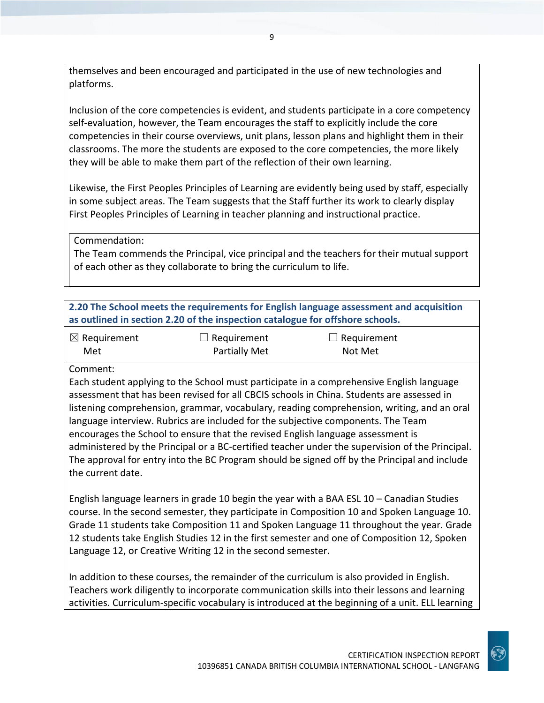themselves and been encouraged and participated in the use of new technologies and platforms.

Inclusion of the core competencies is evident, and students participate in a core competency self-evaluation, however, the Team encourages the staff to explicitly include the core competencies in their course overviews, unit plans, lesson plans and highlight them in their classrooms. The more the students are exposed to the core competencies, the more likely they will be able to make them part of the reflection of their own learning.

Likewise, the First Peoples Principles of Learning are evidently being used by staff, especially in some subject areas. The Team suggests that the Staff further its work to clearly display First Peoples Principles of Learning in teacher planning and instructional practice.

Commendation:

The Team commends the Principal, vice principal and the teachers for their mutual support of each other as they collaborate to bring the curriculum to life.

**2.20 The School meets the requirements for English language assessment and acquisition as outlined in section 2.20 of the inspection catalogue for offshore schools.**

| $\boxtimes$ Requirement | $\Box$ Requirement | $\Box$ Requirement |
|-------------------------|--------------------|--------------------|
| Met                     | Partially Met      | Not Met            |

Comment:

Each student applying to the School must participate in a comprehensive English language assessment that has been revised for all CBCIS schools in China. Students are assessed in listening comprehension, grammar, vocabulary, reading comprehension, writing, and an oral language interview. Rubrics are included for the subjective components. The Team encourages the School to ensure that the revised English language assessment is administered by the Principal or a BC-certified teacher under the supervision of the Principal. The approval for entry into the BC Program should be signed off by the Principal and include the current date.

English language learners in grade 10 begin the year with a BAA ESL 10 – Canadian Studies course. In the second semester, they participate in Composition 10 and Spoken Language 10. Grade 11 students take Composition 11 and Spoken Language 11 throughout the year. Grade 12 students take English Studies 12 in the first semester and one of Composition 12, Spoken Language 12, or Creative Writing 12 in the second semester.

In addition to these courses, the remainder of the curriculum is also provided in English. Teachers work diligently to incorporate communication skills into their lessons and learning activities. Curriculum-specific vocabulary is introduced at the beginning of a unit. ELL learning

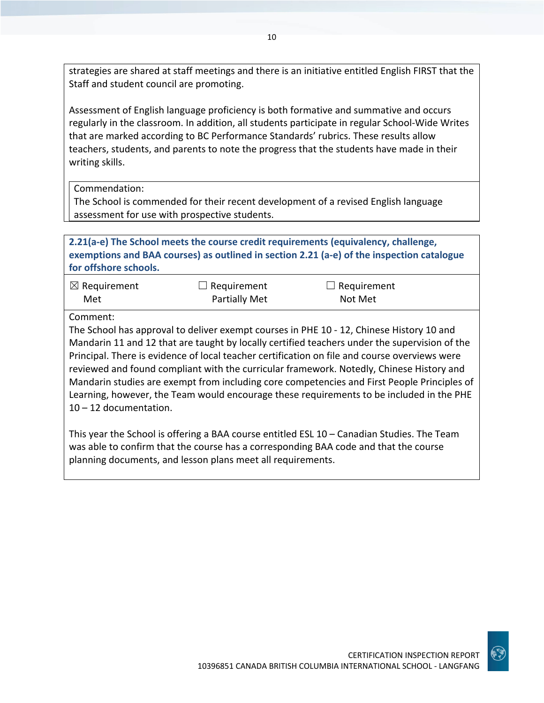strategies are shared at staff meetings and there is an initiative entitled English FIRST that the Staff and student council are promoting.

Assessment of English language proficiency is both formative and summative and occurs regularly in the classroom. In addition, all students participate in regular School-Wide Writes that are marked according to BC Performance Standards' rubrics. These results allow teachers, students, and parents to note the progress that the students have made in their writing skills.

Commendation:

The School is commended for their recent development of a revised English language assessment for use with prospective students.

**2.21(a-e) The School meets the course credit requirements (equivalency, challenge, exemptions and BAA courses) as outlined in section 2.21 (a-e) of the inspection catalogue for offshore schools.**

| $\boxtimes$ Requirement | $\Box$ Requirement   | $\Box$ Requirement |
|-------------------------|----------------------|--------------------|
| Met                     | <b>Partially Met</b> | Not Met            |

Comment:

The School has approval to deliver exempt courses in PHE 10 - 12, Chinese History 10 and Mandarin 11 and 12 that are taught by locally certified teachers under the supervision of the Principal. There is evidence of local teacher certification on file and course overviews were reviewed and found compliant with the curricular framework. Notedly, Chinese History and Mandarin studies are exempt from including core competencies and First People Principles of Learning, however, the Team would encourage these requirements to be included in the PHE 10 – 12 documentation.

This year the School is offering a BAA course entitled ESL 10 – Canadian Studies. The Team was able to confirm that the course has a corresponding BAA code and that the course planning documents, and lesson plans meet all requirements.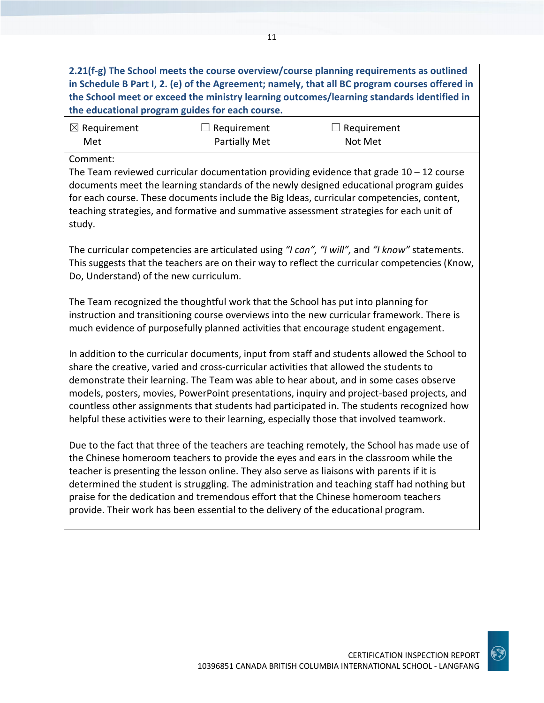**2.21(f-g) The School meets the course overview/course planning requirements as outlined in Schedule B Part I, 2. (e) of the Agreement; namely, that all BC program courses offered in the School meet or exceed the ministry learning outcomes/learning standards identified in the educational program guides for each course.**

| $\boxtimes$ Requirement | $\Box$ Requirement   | $\Box$ Requirement |
|-------------------------|----------------------|--------------------|
| Met                     | <b>Partially Met</b> | Not Met            |

#### Comment:

The Team reviewed curricular documentation providing evidence that grade  $10 - 12$  course documents meet the learning standards of the newly designed educational program guides for each course. These documents include the Big Ideas, curricular competencies, content, teaching strategies, and formative and summative assessment strategies for each unit of study.

The curricular competencies are articulated using *"I can", "I will",* and *"I know"* statements. This suggests that the teachers are on their way to reflect the curricular competencies (Know, Do, Understand) of the new curriculum.

The Team recognized the thoughtful work that the School has put into planning for instruction and transitioning course overviews into the new curricular framework. There is much evidence of purposefully planned activities that encourage student engagement.

In addition to the curricular documents, input from staff and students allowed the School to share the creative, varied and cross-curricular activities that allowed the students to demonstrate their learning. The Team was able to hear about, and in some cases observe models, posters, movies, PowerPoint presentations, inquiry and project-based projects, and countless other assignments that students had participated in. The students recognized how helpful these activities were to their learning, especially those that involved teamwork.

Due to the fact that three of the teachers are teaching remotely, the School has made use of the Chinese homeroom teachers to provide the eyes and ears in the classroom while the teacher is presenting the lesson online. They also serve as liaisons with parents if it is determined the student is struggling. The administration and teaching staff had nothing but praise for the dedication and tremendous effort that the Chinese homeroom teachers provide. Their work has been essential to the delivery of the educational program.

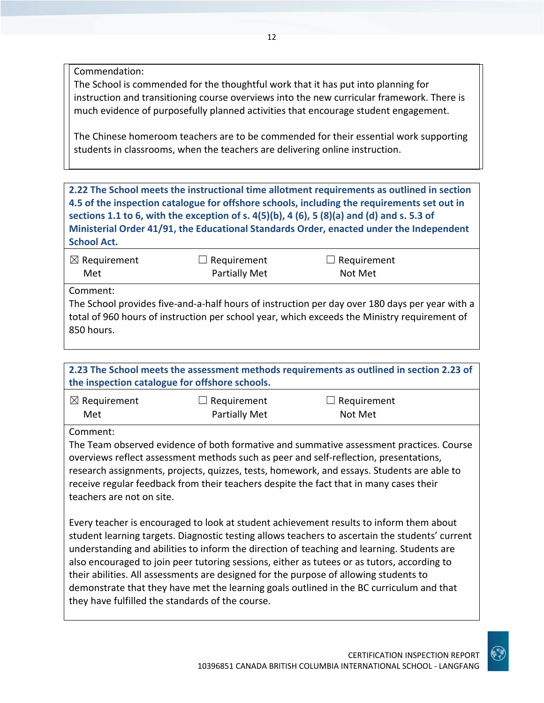Commendation:

The School is commended for the thoughtful work that it has put into planning for instruction and transitioning course overviews into the new curricular framework. There is much evidence of purposefully planned activities that encourage student engagement.

The Chinese homeroom teachers are to be commended for their essential work supporting students in classrooms, when the teachers are delivering online instruction.

**2.22 The School meets the instructional time allotment requirements as outlined in section 4.5 of the inspection catalogue for offshore schools, including the requirements set out in sections 1.1 to 6, with the exception of s. 4(5)(b), 4 (6), 5 (8)(a) and (d) and s. 5.3 of Ministerial Order 41/91, the Educational Standards Order, enacted under the Independent School Act.**

| $\boxtimes$ Requirement | $\Box$ Requirement | $\Box$ Requirement                                                                                                                                                                             |  |
|-------------------------|--------------------|------------------------------------------------------------------------------------------------------------------------------------------------------------------------------------------------|--|
| Met                     | Partially Met      | Not Met                                                                                                                                                                                        |  |
| Comment:<br>850 hours.  |                    | The School provides five-and-a-half hours of instruction per day over 180 days per year with a<br>total of 960 hours of instruction per school year, which exceeds the Ministry requirement of |  |

**2.23 The School meets the assessment methods requirements as outlined in section 2.23 of the inspection catalogue for offshore schools.**

| $\boxtimes$ Requirement | $\Box$ Requirement | $\Box$ Requirement |
|-------------------------|--------------------|--------------------|
| Met                     | Partially Met      | Not Met            |

Comment:

The Team observed evidence of both formative and summative assessment practices. Course overviews reflect assessment methods such as peer and self-reflection, presentations, research assignments, projects, quizzes, tests, homework, and essays. Students are able to receive regular feedback from their teachers despite the fact that in many cases their teachers are not on site.

Every teacher is encouraged to look at student achievement results to inform them about student learning targets. Diagnostic testing allows teachers to ascertain the students' current understanding and abilities to inform the direction of teaching and learning. Students are also encouraged to join peer tutoring sessions, either as tutees or as tutors, according to their abilities. All assessments are designed for the purpose of allowing students to demonstrate that they have met the learning goals outlined in the BC curriculum and that they have fulfilled the standards of the course.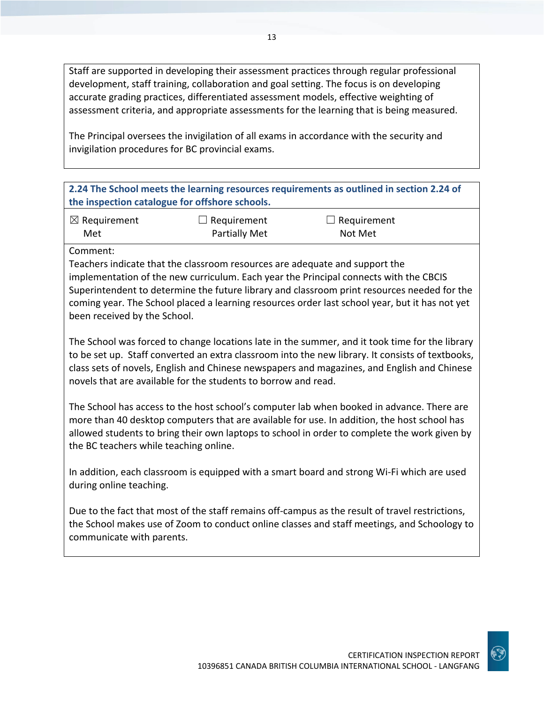Staff are supported in developing their assessment practices through regular professional development, staff training, collaboration and goal setting. The focus is on developing accurate grading practices, differentiated assessment models, effective weighting of assessment criteria, and appropriate assessments for the learning that is being measured.

The Principal oversees the invigilation of all exams in accordance with the security and invigilation procedures for BC provincial exams.

## **2.24 The School meets the learning resources requirements as outlined in section 2.24 of the inspection catalogue for offshore schools.**

| $\boxtimes$ Requirement | $\Box$ Requirement   | $\Box$ Requirement |
|-------------------------|----------------------|--------------------|
| Met                     | <b>Partially Met</b> | Not Met            |

Comment:

Teachers indicate that the classroom resources are adequate and support the implementation of the new curriculum. Each year the Principal connects with the CBCIS Superintendent to determine the future library and classroom print resources needed for the coming year. The School placed a learning resources order last school year, but it has not yet been received by the School.

The School was forced to change locations late in the summer, and it took time for the library to be set up. Staff converted an extra classroom into the new library. It consists of textbooks, class sets of novels, English and Chinese newspapers and magazines, and English and Chinese novels that are available for the students to borrow and read.

The School has access to the host school's computer lab when booked in advance. There are more than 40 desktop computers that are available for use. In addition, the host school has allowed students to bring their own laptops to school in order to complete the work given by the BC teachers while teaching online.

In addition, each classroom is equipped with a smart board and strong Wi-Fi which are used during online teaching.

Due to the fact that most of the staff remains off-campus as the result of travel restrictions, the School makes use of Zoom to conduct online classes and staff meetings, and Schoology to communicate with parents.

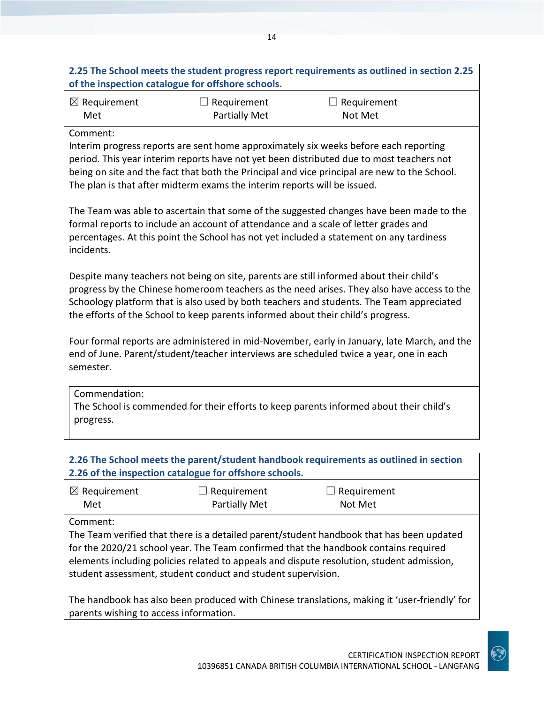|                                                                                                                                                                                                                                                                                                                                                                          | of the inspection catalogue for offshore schools. | 2.25 The School meets the student progress report requirements as outlined in section 2.25 |  |
|--------------------------------------------------------------------------------------------------------------------------------------------------------------------------------------------------------------------------------------------------------------------------------------------------------------------------------------------------------------------------|---------------------------------------------------|--------------------------------------------------------------------------------------------|--|
| $\boxtimes$ Requirement<br>Met                                                                                                                                                                                                                                                                                                                                           | $\Box$ Requirement<br><b>Partially Met</b>        | $\Box$ Requirement<br>Not Met                                                              |  |
| Comment:<br>Interim progress reports are sent home approximately six weeks before each reporting<br>period. This year interim reports have not yet been distributed due to most teachers not<br>being on site and the fact that both the Principal and vice principal are new to the School.<br>The plan is that after midterm exams the interim reports will be issued. |                                                   |                                                                                            |  |
| The Team was able to ascertain that some of the suggested changes have been made to the<br>formal reports to include an account of attendance and a scale of letter grades and<br>percentages. At this point the School has not yet included a statement on any tardiness<br>incidents.                                                                                  |                                                   |                                                                                            |  |
| Despite many teachers not being on site, parents are still informed about their child's<br>progress by the Chinese homeroom teachers as the need arises. They also have access to the<br>Schoology platform that is also used by both teachers and students. The Team appreciated<br>the efforts of the School to keep parents informed about their child's progress.    |                                                   |                                                                                            |  |
| Four formal reports are administered in mid-November, early in January, late March, and the<br>end of June. Parent/student/teacher interviews are scheduled twice a year, one in each<br>semester.                                                                                                                                                                       |                                                   |                                                                                            |  |
| Commendation:<br>The School is commended for their efforts to keep parents informed about their child's<br>progress.                                                                                                                                                                                                                                                     |                                                   |                                                                                            |  |
| 2.26 The School meets the parent/student handbook requirements as outlined in section<br>2.26 of the inspection catalogue for offshore schools.                                                                                                                                                                                                                          |                                                   |                                                                                            |  |
| $\boxtimes$ Requirement<br>Met                                                                                                                                                                                                                                                                                                                                           | Requirement<br><b>Partially Met</b>               | Requirement<br>Not Met                                                                     |  |
| Comment:                                                                                                                                                                                                                                                                                                                                                                 |                                                   | The Team verified that there is a detailed parent/student handbook that has been updated   |  |

for the 2020/21 school year. The Team confirmed that the handbook contains required elements including policies related to appeals and dispute resolution, student admission, student assessment, student conduct and student supervision.

The handbook has also been produced with Chinese translations, making it 'user-friendly' for parents wishing to access information.

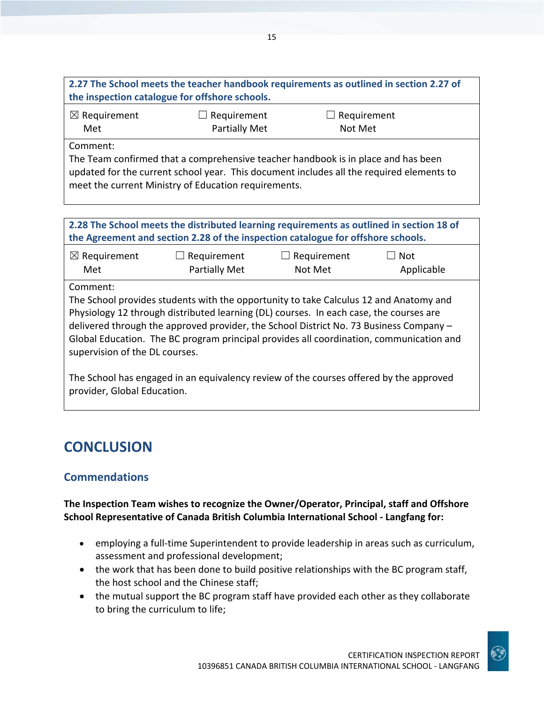| 2.27 The School meets the teacher handbook requirements as outlined in section 2.27 of |                    |                    |  |
|----------------------------------------------------------------------------------------|--------------------|--------------------|--|
| the inspection catalogue for offshore schools.                                         |                    |                    |  |
| $\boxtimes$ Requirement                                                                | $\Box$ Requirement | $\Box$ Requirement |  |
| Met                                                                                    | Partially Met      | Not Met            |  |

Comment:

The Team confirmed that a comprehensive teacher handbook is in place and has been updated for the current school year. This document includes all the required elements to meet the current Ministry of Education requirements.

**2.28 The School meets the distributed learning requirements as outlined in section 18 of the Agreement and section 2.28 of the inspection catalogue for offshore schools.**

| $\boxtimes$ Requirement | $\Box$ Requirement   | $\Box$ Requirement | $\Box$ Not |
|-------------------------|----------------------|--------------------|------------|
| Met                     | <b>Partially Met</b> | Not Met            | Applicable |

Comment:

The School provides students with the opportunity to take Calculus 12 and Anatomy and Physiology 12 through distributed learning (DL) courses. In each case, the courses are delivered through the approved provider, the School District No. 73 Business Company – Global Education. The BC program principal provides all coordination, communication and supervision of the DL courses.

The School has engaged in an equivalency review of the courses offered by the approved provider, Global Education.

## **CONCLUSION**

## **Commendations**

## **The Inspection Team wishes to recognize the Owner/Operator, Principal, staff and Offshore School Representative of Canada British Columbia International School - Langfang for:**

- employing a full-time Superintendent to provide leadership in areas such as curriculum, assessment and professional development;
- the work that has been done to build positive relationships with the BC program staff, the host school and the Chinese staff;
- the mutual support the BC program staff have provided each other as they collaborate to bring the curriculum to life;